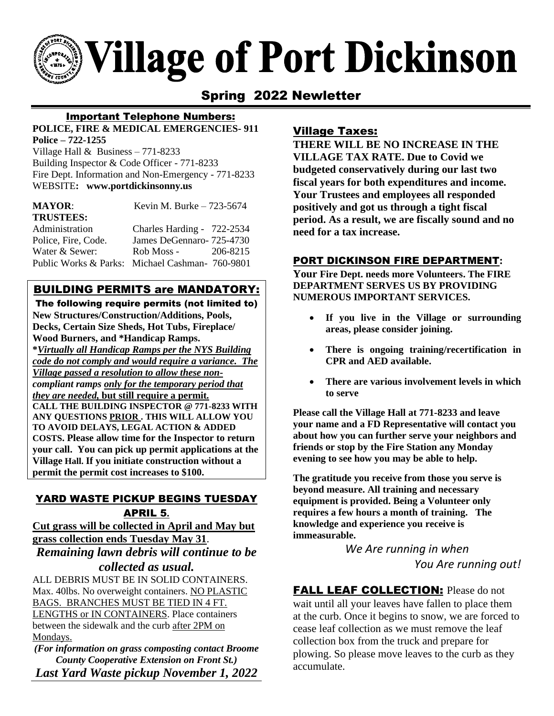# **Village of Port Dickinson**

# Spring 2022 Newletter

## Important Telephone Numbers:

#### **POLICE, FIRE & MEDICAL EMERGENCIES- 911 Police – 722-1255**

Village Hall  $& Business - 771-8233$ Building Inspector & Code Officer - 771-8233 Fire Dept. Information and Non-Emergency - 771-8233 WEBSITE**: www.portdickinsonny.us**

| <b>MAYOR:</b>                                   | Kevin M. Burke $-723-5674$ |          |
|-------------------------------------------------|----------------------------|----------|
| <b>TRUSTEES:</b>                                |                            |          |
| Administration                                  | Charles Harding - 722-2534 |          |
| Police, Fire, Code.                             | James DeGennaro- 725-4730  |          |
| Water & Sewer:                                  | Rob Moss -                 | 206-8215 |
| Public Works & Parks: Michael Cashman- 760-9801 |                            |          |

### BUILDING PERMITS are MANDATORY:

The following require permits (not limited to) **New Structures/Construction/Additions, Pools, Decks, Certain Size Sheds, Hot Tubs, Fireplace/ Wood Burners, and \*Handicap Ramps.**

**\****Virtually all Handicap Ramps per the NYS Building code do not comply and would require a variance. The Village passed a resolution to allow these noncompliant ramps only for the temporary period that they are needed,* **but still require a permit***.* **CALL THE BUILDING INSPECTOR @ 771-8233 WITH ANY QUESTIONS PRIOR . THIS WILL ALLOW YOU TO AVOID DELAYS, LEGAL ACTION & ADDED COSTS. Please allow time for the Inspector to return your call. You can pick up permit applications at the Village Hall. If you initiate construction without a permit the permit cost increases to \$100.**

#### YARD WASTE PICKUP BEGINS TUESDAY APRIL 5**.**

**Cut grass will be collected in April and May but grass collection ends Tuesday May 31**.

## *Remaining lawn debris will continue to be collected as usual.*

ALL DEBRIS MUST BE IN SOLID CONTAINERS. Max. 40lbs. No overweight containers. NO PLASTIC BAGS. BRANCHES MUST BE TIED IN 4 FT. LENGTHS or IN CONTAINERS. Place containers between the sidewalk and the curb after 2PM on Mondays.

*(For information on grass composting contact Broome County Cooperative Extension on Front St.) Last Yard Waste pickup November 1, 2022*

## Village Taxes:

**THERE WILL BE NO INCREASE IN THE VILLAGE TAX RATE. Due to Covid we budgeted conservatively during our last two fiscal years for both expenditures and income. Your Trustees and employees all responded positively and got us through a tight fiscal period. As a result, we are fiscally sound and no need for a tax increase.**

### PORT DICKINSON FIRE DEPARTMENT**:**

**Your Fire Dept. needs more Volunteers. The FIRE DEPARTMENT SERVES US BY PROVIDING NUMEROUS IMPORTANT SERVICES.** 

- **If you live in the Village or surrounding areas, please consider joining.**
- **There is ongoing training/recertification in CPR and AED available.**
- **There are various involvement levels in which to serve**

**Please call the Village Hall at 771-8233 and leave your name and a FD Representative will contact you about how you can further serve your neighbors and friends or stop by the Fire Station any Monday evening to see how you may be able to help.**

**The gratitude you receive from those you serve is beyond measure. All training and necessary equipment is provided. Being a Volunteer only requires a few hours a month of training. The knowledge and experience you receive is immeasurable.**

*We Are running in when You Are running out!*

**FALL LEAF COLLECTION:** Please do not wait until all your leaves have fallen to place them at the curb. Once it begins to snow, we are forced to cease leaf collection as we must remove the leaf collection box from the truck and prepare for plowing. So please move leaves to the curb as they accumulate.